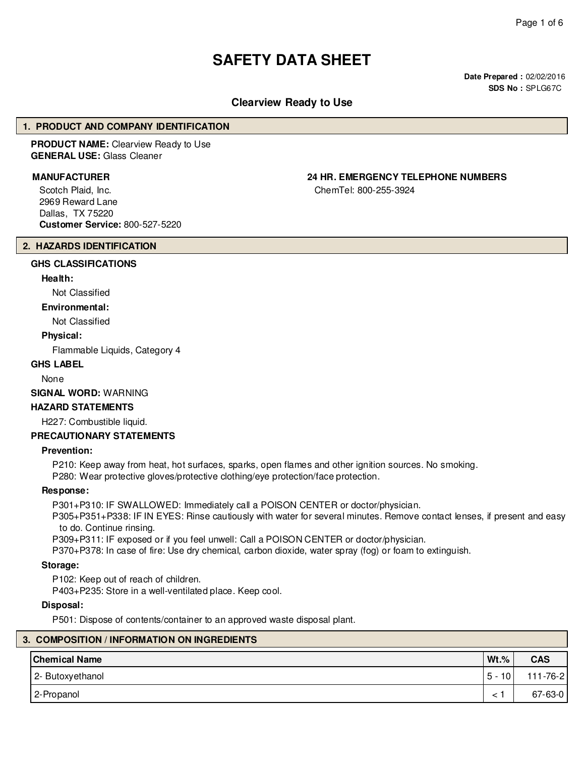# **SAFETY DATA SHEET**

**Date Prepared :** 02/02/2016 **SDS No :** SPLG67C

# **Clearview Ready to Use**

# **1. PRODUCT AND COMPANY IDENTIFICATION**

**PRODUCT NAME:** Clearview Ready to Use **GENERAL USE:** Glass Cleaner

Scotch Plaid, Inc. 2969 Reward Lane Dallas, TX 75220 **Customer Service:** 800-527-5220

# **MANUFACTURER 24 HR. EMERGENCY TELEPHONE NUMBERS**

ChemTel: 800-255-3924

#### **2. HAZARDS IDENTIFICATION**

# **GHS CLASSIFICATIONS**

# **Health:**

Not Classified

# **Environmental:**

Not Classified

#### **Physical:**

Flammable Liquids, Category 4

# **GHS LABEL**

None

**SIGNAL WORD:** WARNING

# **HAZARD STATEMENTS**

H227: Combustible liquid.

# **PRECAUTIONARY STATEMENTS**

#### **Prevention:**

P210: Keep away from heat, hot surfaces, sparks, open flames and other ignition sources. No smoking.

P280: Wear protective gloves/protective clothing/eye protection/face protection.

### **Response:**

P301+P310: IF SWALLOWED: Immediately call a POISON CENTER or doctor/physician.

P305+P351+P338: IF IN EYES: Rinse cautiously with water for several minutes. Remove contact lenses, if present and easy to do. Continue rinsing.

P309+P311: IF exposed or if you feel unwell: Call a POISON CENTER or doctor/physician.

P370+P378: In case of fire: Use dry chemical, carbon dioxide, water spray (fog) or foam to extinguish.

# **Storage:**

P102: Keep out of reach of children.

P403+P235: Store in a well-ventilated place. Keep cool.

#### **Disposal:**

P501: Dispose of contents/container to an approved waste disposal plant.

|  | 3. COMPOSITION / INFORMATION ON INGREDIENTS |          |                |  |  |
|--|---------------------------------------------|----------|----------------|--|--|
|  | <b>Chemical Name</b>                        | $Wt.\%$  | <b>CAS</b>     |  |  |
|  | 2- Butoxyethanol                            | $5 - 10$ | $111 - 76 - 2$ |  |  |
|  | 2-Propanol                                  |          | 67-63-0        |  |  |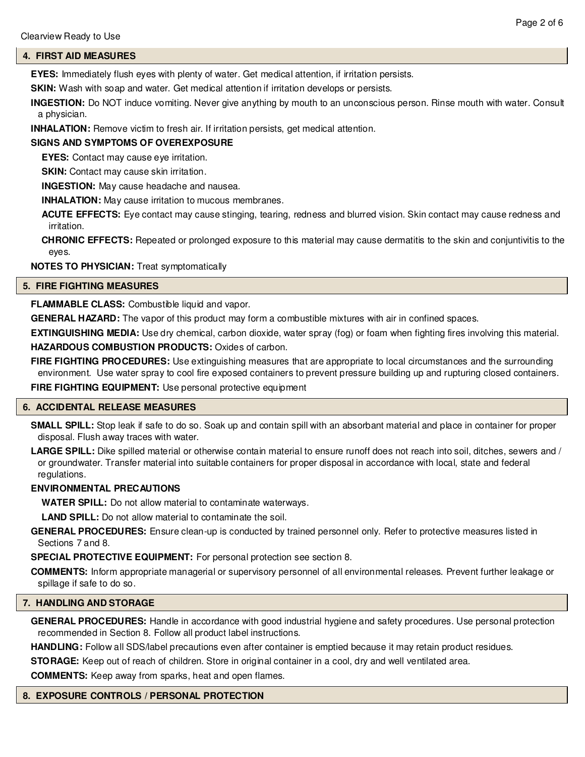# **4. FIRST AID MEASURES**

**EYES:** Immediately flush eyes with plenty of water. Get medical attention, if irritation persists.

**SKIN:** Wash with soap and water. Get medical attention if irritation develops or persists.

**INGESTION:** Do NOT induce vomiting. Never give anything by mouth to an unconscious person. Rinse mouth with water. Consult a physician.

**INHALATION:** Remove victim to fresh air. If irritation persists, get medical attention.

# **SIGNS AND SYMPTOMS OF OVEREXPOSURE**

**EYES:** Contact may cause eye irritation.

**SKIN:** Contact may cause skin irritation.

**INGESTION:** May cause headache and nausea.

**INHALATION:** May cause irritation to mucous membranes.

**ACUTE EFFECTS:** Eye contact may cause stinging, tearing, redness and blurred vision. Skin contact may cause redness and irritation.

**CHRONIC EFFECTS:** Repeated or prolonged exposure to this material may cause dermatitis to the skin and conjuntivitis to the eyes.

**NOTES TO PHYSICIAN:** Treat symptomatically

# **5. FIRE FIGHTING MEASURES**

# **FLAMMABLE CLASS:** Combustible liquid and vapor.

**GENERAL HAZARD:** The vapor of this product may form a combustible mixtures with air in confined spaces.

**EXTINGUISHING MEDIA:** Use dry chemical, carbon dioxide, water spray (fog) or foam when fighting fires involving this material.

**HAZARDOUS COMBUSTION PRODUCTS:** Oxides of carbon.

**FIRE FIGHTING PROCEDURES:** Use extinguishing measures that are appropriate to local circumstances and the surrounding environment. Use water spray to cool fire exposed containers to prevent pressure building up and rupturing closed containers.

**FIRE FIGHTING EQUIPMENT:** Use personal protective equipment

#### **6. ACCIDENTAL RELEASE MEASURES**

**SMALL SPILL:** Stop leak if safe to do so. Soak up and contain spill with an absorbant material and place in container for proper disposal. Flush away traces with water.

**LARGE SPILL:** Dike spilled material or otherwise contain material to ensure runoff does not reach into soil, ditches, sewers and / or groundwater. Transfer material into suitable containers for proper disposal in accordance with local, state and federal regulations.

# **ENVIRONMENTAL PRECAUTIONS**

**WATER SPILL:** Do not allow material to contaminate waterways.

**LAND SPILL:** Do not allow material to contaminate the soil.

**GENERAL PROCEDURES:** Ensure clean-up is conducted by trained personnel only. Refer to protective measures listed in Sections 7 and 8.

**SPECIAL PROTECTIVE EQUIPMENT:** For personal protection see section 8.

**COMMENTS:** Inform appropriate managerial or supervisory personnel of all environmental releases. Prevent further leakage or spillage if safe to do so.

# **7. HANDLING AND STORAGE**

**GENERAL PROCEDURES:** Handle in accordance with good industrial hygiene and safety procedures. Use personal protection recommended in Section 8. Follow all product label instructions.

**HANDLING:** Follow all SDS/label precautions even after container is emptied because it may retain product residues.

**STORAGE:** Keep out of reach of children. Store in original container in a cool, dry and well ventilated area.

**COMMENTS:** Keep away from sparks, heat and open flames.

#### **8. EXPOSURE CONTROLS / PERSONAL PROTECTION**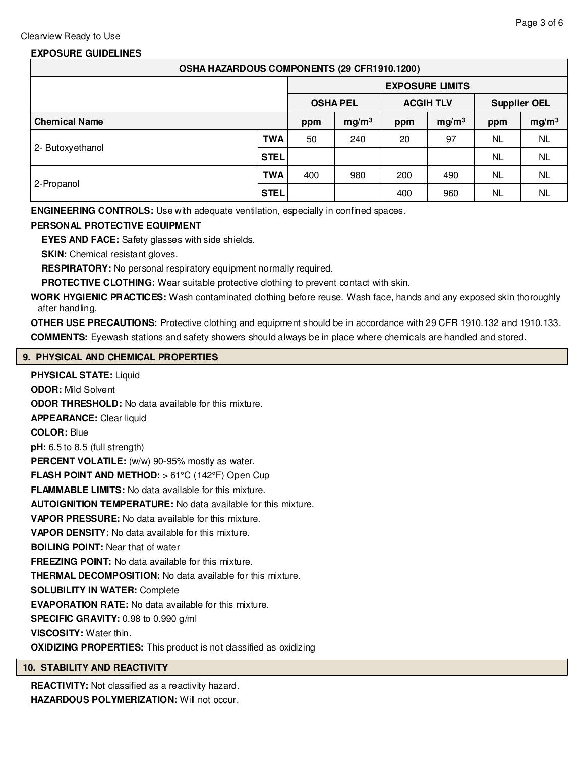# **EXPOSURE GUIDELINES**

| OSHA HAZARDOUS COMPONENTS (29 CFR1910.1200) |             |                        |                   |                  |                   |                     |                   |
|---------------------------------------------|-------------|------------------------|-------------------|------------------|-------------------|---------------------|-------------------|
|                                             |             | <b>EXPOSURE LIMITS</b> |                   |                  |                   |                     |                   |
|                                             |             | <b>OSHA PEL</b>        |                   | <b>ACGIH TLV</b> |                   | <b>Supplier OEL</b> |                   |
| <b>Chemical Name</b>                        |             | ppm                    | mg/m <sup>3</sup> | ppm              | mg/m <sup>3</sup> | ppm                 | mg/m <sup>3</sup> |
| 2- Butoxyethanol                            | <b>TWA</b>  | 50                     | 240               | 20               | 97                | NL.                 | NL.               |
|                                             | STEL        |                        |                   |                  |                   | NL.                 | NL.               |
| 2-Propanol                                  | TWA         | 400                    | 980               | 200              | 490               | NL.                 | <b>NL</b>         |
|                                             | <b>STEL</b> |                        |                   | 400              | 960               | NL.                 | <b>NL</b>         |

**ENGINEERING CONTROLS:** Use with adequate ventilation, especially in confined spaces.

# **PERSONAL PROTECTIVE EQUIPMENT**

**EYES AND FACE:** Safety glasses with side shields.

**SKIN:** Chemical resistant gloves.

**RESPIRATORY:** No personal respiratory equipment normally required.

**PROTECTIVE CLOTHING:** Wear suitable protective clothing to prevent contact with skin.

**WORK HYGIENIC PRACTICES:** Wash contaminated clothing before reuse. Wash face, hands and any exposed skin thoroughly after handling.

**OTHER USE PRECAUTIONS:** Protective clothing and equipment should be in accordance with 29 CFR 1910.132 and 1910.133. **COMMENTS:** Eyewash stations and safety showers should always be in place where chemicals are handled and stored.

# **9. PHYSICAL AND CHEMICAL PROPERTIES**

**PHYSICAL STATE:** Liquid **ODOR:** Mild Solvent **ODOR THRESHOLD:** No data available for this mixture. **APPEARANCE:** Clear liquid **COLOR:** Blue **pH:** 6.5 to 8.5 (full strength) PERCENT VOLATILE: (w/w) 90-95% mostly as water. **FLASH POINT AND METHOD:** > 61°C (142°F) Open Cup **FLAMMABLE LIMITS:** No data available for this mixture. **AUTOIGNITION TEMPERATURE:** No data available for this mixture. **VAPOR PRESSURE:** No data available for this mixture. **VAPOR DENSITY:** No data available for this mixture. **BOILING POINT:** Near that of water **FREEZING POINT:** No data available for this mixture. **THERMAL DECOMPOSITION:** No data available for this mixture. **SOLUBILITY IN WATER:** Complete **EVAPORATION RATE:** No data available for this mixture. **SPECIFIC GRAVITY:** 0.98 to 0.990 g/ml **VISCOSITY:** Water thin. **OXIDIZING PROPERTIES:** This product is not classified as oxidizing

# **10. STABILITY AND REACTIVITY**

**REACTIVITY:** Not classified as a reactivity hazard. **HAZARDOUS POLYMERIZATION:** Will not occur.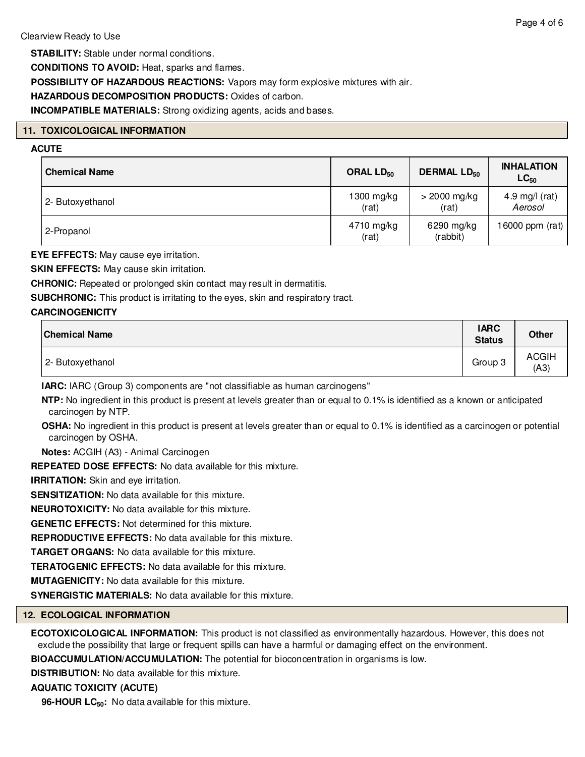**STABILITY:** Stable under normal conditions.

**CONDITIONS TO AVOID:** Heat, sparks and flames.

**POSSIBILITY OF HAZARDOUS REACTIONS:** Vapors may form explosive mixtures with air.

# **HAZARDOUS DECOMPOSITION PRODUCTS:** Oxides of carbon.

**INCOMPATIBLE MATERIALS:** Strong oxidizing agents, acids and bases.

# **11. TOXICOLOGICAL INFORMATION**

# **ACUTE**

| <b>Chemical Name</b> | ORAL LD <sub>50</sub> | <b>DERMAL LD<sub>50</sub></b> | <b>INHALATION</b><br>$LC_{50}$ |  |
|----------------------|-----------------------|-------------------------------|--------------------------------|--|
| 2- Butoxyethanol     | $1300$ mg/kg<br>(rat) | $>$ 2000 mg/kg<br>(rat)       | 4.9 mg/l (rat)<br>Aerosol      |  |
| 2-Propanol           | 4710 mg/kg<br>(rat)   | 6290 mg/kg<br>(rabbit)        | 16000 ppm $(rat)$              |  |

**EYE EFFECTS:** May cause eye irritation.

**SKIN EFFECTS:** May cause skin irritation.

**CHRONIC:** Repeated or prolonged skin contact may result in dermatitis.

**SUBCHRONIC:** This product is irritating to the eyes, skin and respiratory tract.

# **CARCINOGENICITY**

| <b>Chemical Name</b> | <b>IARC</b><br><b>Status</b> | <b>Other</b>         |
|----------------------|------------------------------|----------------------|
| 2- Butoxyethanol     | Group 3                      | <b>ACGIH</b><br>(A3) |

**IARC:** IARC (Group 3) components are "not classifiable as human carcinogens"

**NTP:** No ingredient in this product is present at levels greater than or equal to 0.1% is identified as a known or anticipated carcinogen by NTP.

**OSHA:** No ingredient in this product is present at levels greater than or equal to 0.1% is identified as a carcinogen or potential carcinogen by OSHA.

**Notes:** ACGIH (A3) - Animal Carcinogen

**REPEATED DOSE EFFECTS:** No data available for this mixture.

**IRRITATION:** Skin and eye irritation.

**SENSITIZATION:** No data available for this mixture.

**NEUROTOXICITY:** No data available for this mixture.

**GENETIC EFFECTS:** Not determined for this mixture.

**REPRODUCTIVE EFFECTS:** No data available for this mixture.

**TARGET ORGANS:** No data available for this mixture.

**TERATOGENIC EFFECTS:** No data available for this mixture.

**MUTAGENICITY:** No data available for this mixture.

**SYNERGISTIC MATERIALS:** No data available for this mixture.

# **12. ECOLOGICAL INFORMATION**

**ECOTOXICOLOGICAL INFORMATION:** This product is not classified as environmentally hazardous. However, this does not exclude the possibility that large or frequent spills can have a harmful or damaging effect on the environment.

**BIOACCUMULATION/ACCUMULATION:** The potential for bioconcentration in organisms is low.

**DISTRIBUTION:** No data available for this mixture.

# **AQUATIC TOXICITY (ACUTE)**

**96-HOUR LC<sub>50</sub>:** No data available for this mixture.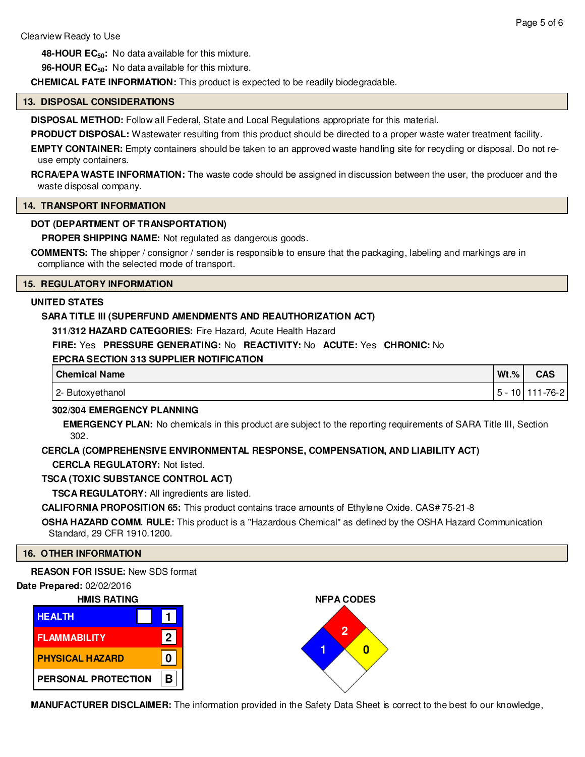**48-HOUR EC50:** No data available for this mixture.

**96-HOUR EC50:** No data available for this mixture.

**CHEMICAL FATE INFORMATION:** This product is expected to be readily biodegradable.

# **13. DISPOSAL CONSIDERATIONS**

**DISPOSAL METHOD:** Follow all Federal, State and Local Regulations appropriate for this material.

**PRODUCT DISPOSAL:** Wastewater resulting from this product should be directed to a proper waste water treatment facility.

**EMPTY CONTAINER:** Empty containers should be taken to an approved waste handling site for recycling or disposal. Do not reuse empty containers.

**RCRA/EPA WASTE INFORMATION:** The waste code should be assigned in discussion between the user, the producer and the waste disposal company.

# **14. TRANSPORT INFORMATION**

# **DOT (DEPARTMENT OF TRANSPORTATION)**

**PROPER SHIPPING NAME:** Not regulated as dangerous goods.

**COMMENTS:** The shipper / consignor / sender is responsible to ensure that the packaging, labeling and markings are in compliance with the selected mode of transport.

### **15. REGULATORY INFORMATION**

# **UNITED STATES**

### **SARA TITLE III (SUPERFUND AMENDMENTS AND REAUTHORIZATION ACT)**

**311/312 HAZARD CATEGORIES:** Fire Hazard, Acute Health Hazard

# **FIRE:** Yes **PRESSURE GENERATING:** No **REACTIVITY:** No **ACUTE:** Yes **CHRONIC:** No

# **EPCRA SECTION 313 SUPPLIER NOTIFICATION**

| <b>Chemical Name</b> | $Wt.$ %  | <b>CAS</b> |
|----------------------|----------|------------|
| 2- Butoxyethanol     | -<br>ט ⊦ | -76-21     |

# **302/304 EMERGENCY PLANNING**

**EMERGENCY PLAN:** No chemicals in this product are subject to the reporting requirements of SARA Title III, Section 302.

# **CERCLA (COMPREHENSIVE ENVIRONMENTAL RESPONSE, COMPENSATION, AND LIABILITY ACT)**

**CERCLA REGULATORY:** Not listed.

# **TSCA (TOXIC SUBSTANCE CONTROL ACT)**

**TSCA REGULATORY:** All ingredients are listed.

**CALIFORNIA PROPOSITION 65:** This product contains trace amounts of Ethylene Oxide. CAS# 75-21-8

**OSHA HAZARD COMM. RULE:** This product is a "Hazardous Chemical" as defined by the OSHA Hazard Communication Standard, 29 CFR 1910.1200.

#### **16. OTHER INFORMATION**

**REASON FOR ISSUE:** New SDS format

# **Date Prepared:** 02/02/2016







**MANUFACTURER DISCLAIMER:** The information provided in the Safety Data Sheet is correct to the best fo our knowledge,